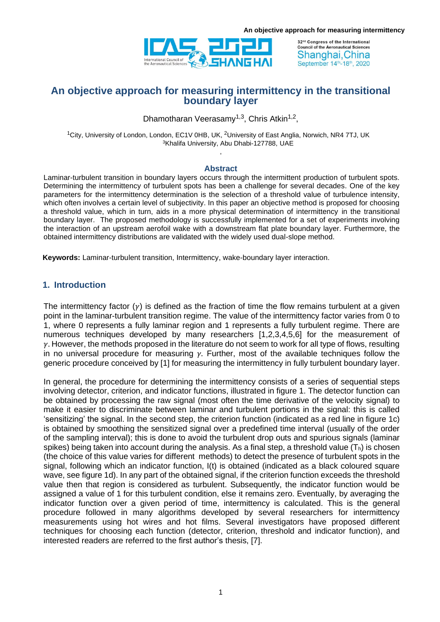

32<sup>nd</sup> Congress of the International **Council of the Aeronautical Sciences** Shanghai, China September 14th-18th, 2020

# **An objective approach for measuring intermittency in the transitional boundary layer**

Dhamotharan Veerasamy<sup>1,3</sup>, Chris Atkin<sup>1,2</sup>,

<sup>1</sup>City, University of London, London, EC1V 0HB, UK, <sup>2</sup>University of East Anglia, Norwich, NR4 7TJ, UK <sup>3</sup>Khalifa University, Abu Dhabi-127788, UAE ,

### **Abstract**

Laminar-turbulent transition in boundary layers occurs through the intermittent production of turbulent spots. Determining the intermittency of turbulent spots has been a challenge for several decades. One of the key parameters for the intermittency determination is the selection of a threshold value of turbulence intensity, which often involves a certain level of subjectivity. In this paper an objective method is proposed for choosing a threshold value, which in turn, aids in a more physical determination of intermittency in the transitional boundary layer. The proposed methodology is successfully implemented for a set of experiments involving the interaction of an upstream aerofoil wake with a downstream flat plate boundary layer. Furthermore, the obtained intermittency distributions are validated with the widely used dual-slope method.

**Keywords:** Laminar-turbulent transition, Intermittency, wake-boundary layer interaction.

## **1. Introduction**

The intermittency factor  $(y)$  is defined as the fraction of time the flow remains turbulent at a given point in the laminar-turbulent transition regime. The value of the intermittency factor varies from 0 to 1, where 0 represents a fully laminar region and 1 represents a fully turbulent regime. There are numerous techniques developed by many researchers [1,2,3,4,5,6] for the measurement of  $\gamma$ . However, the methods proposed in the literature do not seem to work for all type of flows, resulting in no universal procedure for measuring  $y$ . Further, most of the available techniques follow the generic procedure conceived by [1] for measuring the intermittency in fully turbulent boundary layer.

In general, the procedure for determining the intermittency consists of a series of sequential steps involving detector, criterion, and indicator functions, illustrated in figure 1. The detector function can be obtained by processing the raw signal (most often the time derivative of the velocity signal) to make it easier to discriminate between laminar and turbulent portions in the signal: this is called 'sensitizing' the signal. In the second step, the criterion function (indicated as a red line in figure 1c) is obtained by smoothing the sensitized signal over a predefined time interval (usually of the order of the sampling interval); this is done to avoid the turbulent drop outs and spurious signals (laminar spikes) being taken into account during the analysis. As a final step, a threshold value  $(T_h)$  is chosen (the choice of this value varies for different methods) to detect the presence of turbulent spots in the signal, following which an indicator function, I(t) is obtained (indicated as a black coloured square wave, see figure 1d). In any part of the obtained signal, if the criterion function exceeds the threshold value then that region is considered as turbulent. Subsequently, the indicator function would be assigned a value of 1 for this turbulent condition, else it remains zero. Eventually, by averaging the indicator function over a given period of time, intermittency is calculated. This is the general procedure followed in many algorithms developed by several researchers for intermittency measurements using hot wires and hot films. Several investigators have proposed different techniques for choosing each function (detector, criterion, threshold and indicator function), and interested readers are referred to the first author's thesis, [7].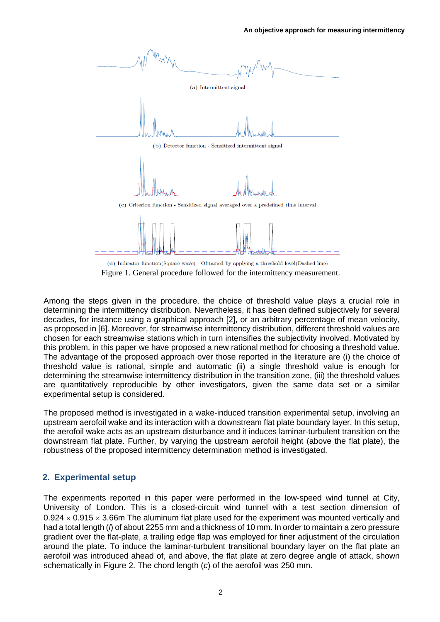

Figure 1. General procedure followed for the intermittency measurement.

Among the steps given in the procedure, the choice of threshold value plays a crucial role in determining the intermittency distribution. Nevertheless, it has been defined subjectively for several decades, for instance using a graphical approach [2], or an arbitrary percentage of mean velocity, as proposed in [6]. Moreover, for streamwise intermittency distribution, different threshold values are chosen for each streamwise stations which in turn intensifies the subjectivity involved. Motivated by this problem, in this paper we have proposed a new rational method for choosing a threshold value. The advantage of the proposed approach over those reported in the literature are (i) the choice of threshold value is rational, simple and automatic (ii) a single threshold value is enough for determining the streamwise intermittency distribution in the transition zone, (iii) the threshold values are quantitatively reproducible by other investigators, given the same data set or a similar experimental setup is considered.

The proposed method is investigated in a wake-induced transition experimental setup, involving an upstream aerofoil wake and its interaction with a downstream flat plate boundary layer. In this setup, the aerofoil wake acts as an upstream disturbance and it induces laminar-turbulent transition on the downstream flat plate. Further, by varying the upstream aerofoil height (above the flat plate), the robustness of the proposed intermittency determination method is investigated.

# **2. Experimental setup**

The experiments reported in this paper were performed in the low-speed wind tunnel at City, University of London. This is a closed-circuit wind tunnel with a test section dimension of  $0.924 \times 0.915 \times 3.66$ m The aluminum flat plate used for the experiment was mounted vertically and had a total length (*l*) of about 2255 mm and a thickness of 10 mm. In order to maintain a zero pressure gradient over the flat-plate, a trailing edge flap was employed for finer adjustment of the circulation around the plate. To induce the laminar-turbulent transitional boundary layer on the flat plate an aerofoil was introduced ahead of, and above, the flat plate at zero degree angle of attack, shown schematically in Figure 2. The chord length (*c*) of the aerofoil was 250 mm.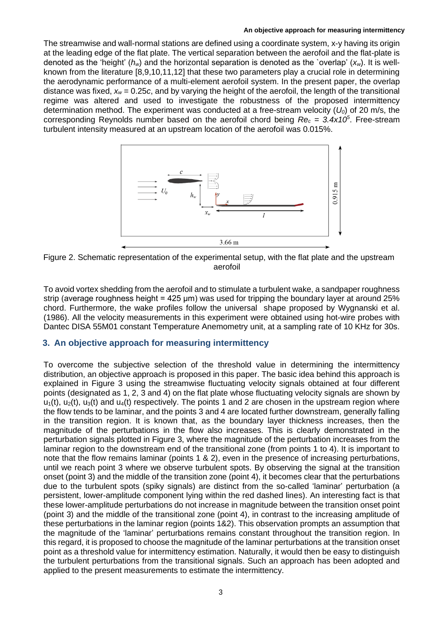The streamwise and wall-normal stations are defined using a coordinate system, x-y having its origin at the leading edge of the flat plate. The vertical separation between the aerofoil and the flat-plate is denoted as the 'height' (*hw*) and the horizontal separation is denoted as the `overlap' (*xw*). It is wellknown from the literature [8,9,10,11,12] that these two parameters play a crucial role in determining the aerodynamic performance of a multi-element aerofoil system. In the present paper, the overlap distance was fixed, *x<sup>w</sup>* = 0.25*c*, and by varying the height of the aerofoil, the length of the transitional regime was altered and used to investigate the robustness of the proposed intermittency determination method. The experiment was conducted at a free-stream velocity (*U0*) of 20 m/s, the corresponding Reynolds number based on the aerofoil chord being *Re<sup>c</sup> = 3.4x10<sup>5</sup>* . Free-stream turbulent intensity measured at an upstream location of the aerofoil was 0.015%.



Figure 2. Schematic representation of the experimental setup, with the flat plate and the upstream aerofoil

To avoid vortex shedding from the aerofoil and to stimulate a turbulent wake, a sandpaper roughness strip (average roughness height = 425 μm) was used for tripping the boundary layer at around 25% chord. Furthermore, the wake profiles follow the universal shape proposed by Wygnanski et al. (1986). All the velocity measurements in this experiment were obtained using hot-wire probes with Dantec DISA 55M01 constant Temperature Anemometry unit, at a sampling rate of 10 KHz for 30s.

# **3. An objective approach for measuring intermittency**

To overcome the subjective selection of the threshold value in determining the intermittency distribution, an objective approach is proposed in this paper. The basic idea behind this approach is explained in Figure 3 using the streamwise fluctuating velocity signals obtained at four different points (designated as 1, 2, 3 and 4) on the flat plate whose fluctuating velocity signals are shown by  $u_1(t)$ ,  $u_2(t)$ ,  $u_3(t)$  and  $u_4(t)$  respectively. The points 1 and 2 are chosen in the upstream region where the flow tends to be laminar, and the points 3 and 4 are located further downstream, generally falling in the transition region. It is known that, as the boundary layer thickness increases, then the magnitude of the perturbations in the flow also increases. This is clearly demonstrated in the perturbation signals plotted in Figure 3, where the magnitude of the perturbation increases from the laminar region to the downstream end of the transitional zone (from points 1 to 4). It is important to note that the flow remains laminar (points 1 & 2), even in the presence of increasing perturbations, until we reach point 3 where we observe turbulent spots. By observing the signal at the transition onset (point 3) and the middle of the transition zone (point 4), it becomes clear that the perturbations due to the turbulent spots (spiky signals) are distinct from the so-called 'laminar' perturbation (a persistent, lower-amplitude component lying within the red dashed lines). An interesting fact is that these lower-amplitude perturbations do not increase in magnitude between the transition onset point (point 3) and the middle of the transitional zone (point 4), in contrast to the increasing amplitude of these perturbations in the laminar region (points 1&2). This observation prompts an assumption that the magnitude of the 'laminar' perturbations remains constant throughout the transition region. In this regard, it is proposed to choose the magnitude of the laminar perturbations at the transition onset point as a threshold value for intermittency estimation. Naturally, it would then be easy to distinguish the turbulent perturbations from the transitional signals. Such an approach has been adopted and applied to the present measurements to estimate the intermittency.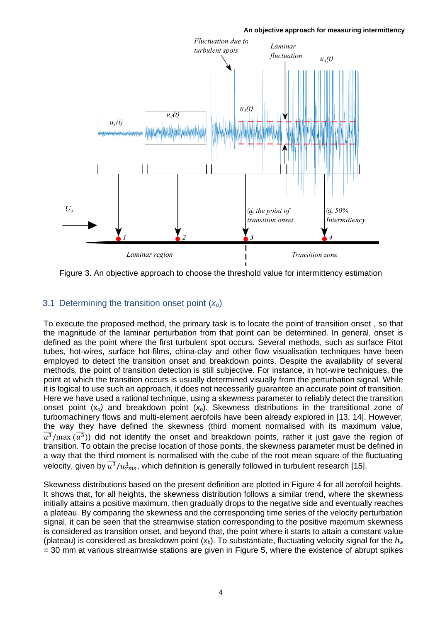

Figure 3. An objective approach to choose the threshold value for intermittency estimation

# 3.1 Determining the transition onset point (*xo*)

To execute the proposed method, the primary task is to locate the point of transition onset , so that the magnitude of the laminar perturbation from that point can be determined. In general, onset is defined as the point where the first turbulent spot occurs. Several methods, such as surface Pitot tubes, hot-wires, surface hot-films, china-clay and other flow visualisation techniques have been employed to detect the transition onset and breakdown points. Despite the availability of several methods, the point of transition detection is still subjective. For instance, in hot-wire techniques, the point at which the transition occurs is usually determined visually from the perturbation signal. While it is logical to use such an approach, it does not necessarily guarantee an accurate point of transition. Here we have used a rational technique, using a skewness parameter to reliably detect the transition onset point (x*o)* and breakdown point (*xb*). Skewness distributions in the transitional zone of turbomachinery flows and multi-element aerofoils have been already explored in [13, 14]. However, the way they have defined the skewness (third moment normalised with its maximum value,  $\overline{u^3}$ /max  $(\overline{u^3})$ ) did not identify the onset and breakdown points, rather it just gave the region of transition. To obtain the precise location of those points, the skewness parameter must be defined in a way that the third moment is normalised with the cube of the root mean square of the fluctuating velocity, given by  $\overline{u^3}/u_{rms}^3,$  which definition is generally followed in turbulent research [15].

Skewness distributions based on the present definition are plotted in Figure 4 for all aerofoil heights. It shows that, for all heights, the skewness distribution follows a similar trend, where the skewness initially attains a positive maximum, then gradually drops to the negative side and eventually reaches a plateau. By comparing the skewness and the corresponding time series of the velocity perturbation signal, it can be seen that the streamwise station corresponding to the positive maximum skewness is considered as transition onset, and beyond that, the point where it starts to attain a constant value (plateau) is considered as breakdown point (*xb*). To substantiate, fluctuating velocity signal for the *h<sup>w</sup>* = 30 mm at various streamwise stations are given in Figure 5, where the existence of abrupt spikes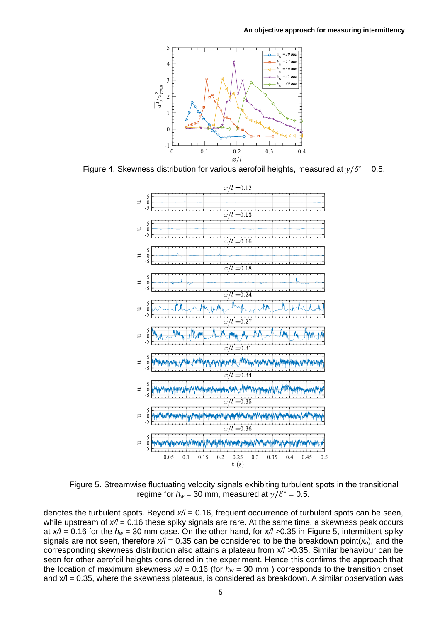

Figure 4. Skewness distribution for various aerofoil heights, measured at  $y/\delta^* = 0.5$ .



Figure 5. Streamwise fluctuating velocity signals exhibiting turbulent spots in the transitional regime for  $h_w = 30$  mm, measured at  $y/\delta^* = 0.5$ .

denotes the turbulent spots. Beyond *x/l* = 0.16, frequent occurrence of turbulent spots can be seen, while upstream of  $x/l = 0.16$  these spiky signals are rare. At the same time, a skewness peak occurs at *x/l* = 0.16 for the *h<sup>w</sup>* = 30 mm case. On the other hand, for *x/l* >0.35 in Figure 5, intermittent spiky signals are not seen, therefore  $x/1 = 0.35$  can be considered to be the breakdown point( $x<sub>b</sub>$ ), and the corresponding skewness distribution also attains a plateau from *x/l* >0.35. Similar behaviour can be seen for other aerofoil heights considered in the experiment. Hence this confirms the approach that the location of maximum skewness  $x/l = 0.16$  (for  $h_w = 30$  mm) corresponds to the transition onset and  $x/1 = 0.35$ , where the skewness plateaus, is considered as breakdown. A similar observation was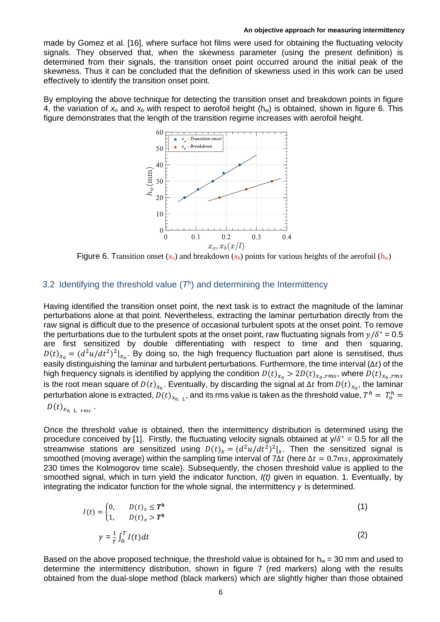made by Gomez et al. [16], where surface hot films were used for obtaining the fluctuating velocity signals. They observed that, when the skewness parameter (using the present definition) is determined from their signals, the transition onset point occurred around the initial peak of the skewness. Thus it can be concluded that the definition of skewness used in this work can be used effectively to identify the transition onset point.

By employing the above technique for detecting the transition onset and breakdown points in figure 4, the variation of  $x_0$  and  $x_b$  with respect to aerofoil height ( $h_w$ ) is obtained, shown in figure 6. This figure demonstrates that the length of the transition regime increases with aerofoil height.



Figure 6. Transition onset  $(x_0)$  and breakdown  $(x_b)$  points for various heights of the aerofoil  $(h_w)$ 

### 3.2 Identifying the threshold value  $(T<sup>h</sup>)$  and determining the Intermittency

Having identified the transition onset point, the next task is to extract the magnitude of the laminar perturbations alone at that point. Nevertheless, extracting the laminar perturbation directly from the raw signal is difficult due to the presence of occasional turbulent spots at the onset point. To remove the perturbations due to the turbulent spots at the onset point, raw fluctuating signals from  $y/\delta^* = 0.5$ are first sensitized by double differentiating with respect to time and then squaring,  $D(t)_{x_0} = (d^2u/dt^2)^2|_{x_0}$ . By doing so, the high frequency fluctuation part alone is sensitised, thus easily distinguishing the laminar and turbulent perturbations. Furthermore, the time interval ( $\Delta t$ ) of the high frequency signals is identified by applying the condition  $D(t)_{x_0} > 2D(t)_{x_0, rms}$ , where  $D(t)_{x_0, rms}$ is the root mean square of  $D(t)_{x_0}$ . Eventually, by discarding the signal at ∆t from  $D(t)_{x_0}$ , the laminar perturbation alone is extracted,  $D(t)_{x_{0,-L}},$  and its rms value is taken as the threshold value,  $T^h=\,T^h_o=$ 

$$
D(t)_{x_{0,\ L,\ rms}}.
$$

Once the threshold value is obtained, then the intermittency distribution is determined using the procedure conceived by [1]. Firstly, the fluctuating velocity signals obtained at  $y/\delta^* = 0.5$  for all the streamwise stations are sensitized using  $D(t)_x = (d^2u/dt^2)^2|_x$ . Then the sensitized signal is smoothed (moving average) within the sampling time interval of 7∆t (here  $\Delta t = 0.7$ ms, approximately 230 times the Kolmogorov time scale). Subsequently, the chosen threshold value is applied to the smoothed signal, which in turn yield the indicator function, *I(t)* given in equation. 1. Eventually, by integrating the indicator function for the whole signal, the intermittency  $\gamma$  is determined.

$$
I(t) = \begin{cases} 0, & D(t)_x \le T^h \\ 1, & D(t)_x > T^h \end{cases} \tag{1}
$$
\n
$$
\gamma = \frac{1}{T} \int_0^T I(t) dt \tag{2}
$$

Based on the above proposed technique, the threshold value is obtained for  $h_w = 30$  mm and used to determine the intermittency distribution, shown in figure 7 (red markers) along with the results obtained from the dual-slope method (black markers) which are slightly higher than those obtained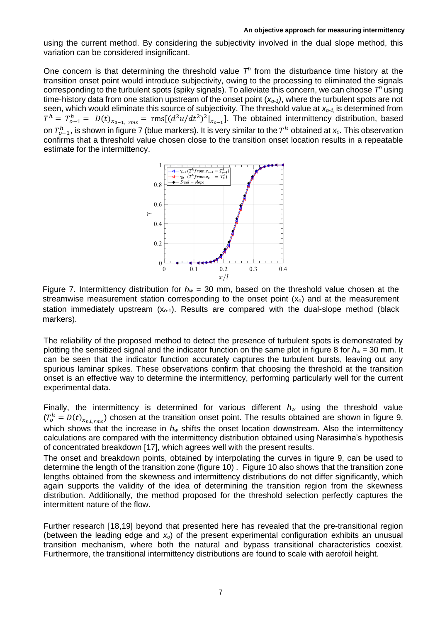using the current method. By considering the subjectivity involved in the dual slope method, this variation can be considered insignificant.

One concern is that determining the threshold value  $T<sup>h</sup>$  from the disturbance time history at the transition onset point would introduce subjectivity, owing to the processing to eliminated the signals corresponding to the turbulent spots (spiky signals). To alleviate this concern, we can choose *T <sup>h</sup>* using time-history data from one station upstream of the onset point (*xo-1)*, where the turbulent spots are not seen, which would eliminate this source of subjectivity. The threshold value at *xo-1,* is determined from  $T^h = T^h_{o-1} = D(t)_{x_{0-1, rms}} = \text{rms}[(d^2u/dt^2)^2|_{x_{o-1}}]$ . The obtained intermittency distribution, based on  $T^h_{o-1}$ , is shown in figure 7 (blue markers). It is very similar to the  $T^h$  obtained at *x<sub>o</sub>*. This observation confirms that a threshold value chosen close to the transition onset location results in a repeatable estimate for the intermittency.



Figure 7. Intermittency distribution for  $h_w = 30$  mm, based on the threshold value chosen at the streamwise measurement station corresponding to the onset point  $(x_0)$  and at the measurement station immediately upstream  $(x<sub>0-1</sub>)$ . Results are compared with the dual-slope method (black markers).

The reliability of the proposed method to detect the presence of turbulent spots is demonstrated by plotting the sensitized signal and the indicator function on the same plot in figure 8 for *h<sup>w</sup>* = 30 mm. It can be seen that the indicator function accurately captures the turbulent bursts, leaving out any spurious laminar spikes. These observations confirm that choosing the threshold at the transition onset is an effective way to determine the intermittency, performing particularly well for the current experimental data.

Finally, the intermittency is determined for various different *h<sup>w</sup>* using the threshold value  $(T_o^h = D(t)_{x_{0,L,rms}})$  chosen at the transition onset point. The results obtained are shown in figure 9, which shows that the increase in  $h_w$  shifts the onset location downstream. Also the intermittency calculations are compared with the intermittency distribution obtained using Narasimha's hypothesis of concentrated breakdown [17], which agrees well with the present results.

The onset and breakdown points, obtained by interpolating the curves in figure 9, can be used to determine the length of the transition zone (figure 10) . Figure 10 also shows that the transition zone lengths obtained from the skewness and intermittency distributions do not differ significantly, which again supports the validity of the idea of determining the transition region from the skewness distribution. Additionally, the method proposed for the threshold selection perfectly captures the intermittent nature of the flow.

Further research [18,19] beyond that presented here has revealed that the pre-transitional region (between the leading edge and *xo*) of the present experimental configuration exhibits an unusual transition mechanism, where both the natural and bypass transitional characteristics coexist. Furthermore, the transitional intermittency distributions are found to scale with aerofoil height.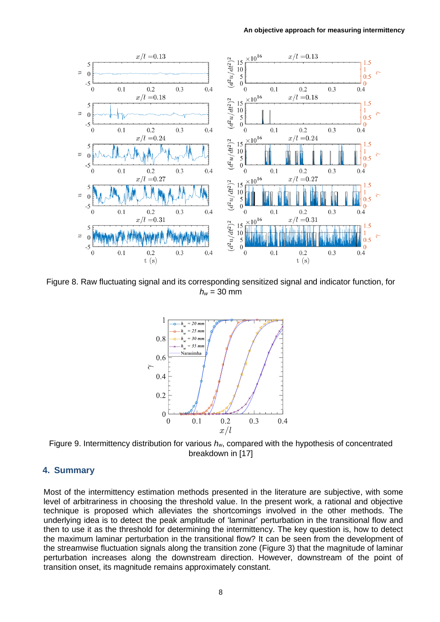

Figure 8. Raw fluctuating signal and its corresponding sensitized signal and indicator function, for  $h_w$  = 30 mm



Figure 9. Intermittency distribution for various *hw*, compared with the hypothesis of concentrated breakdown in [17]

# **4. Summary**

Most of the intermittency estimation methods presented in the literature are subjective, with some level of arbitrariness in choosing the threshold value. In the present work, a rational and objective technique is proposed which alleviates the shortcomings involved in the other methods. The underlying idea is to detect the peak amplitude of 'laminar' perturbation in the transitional flow and then to use it as the threshold for determining the intermittency. The key question is, how to detect the maximum laminar perturbation in the transitional flow? It can be seen from the development of the streamwise fluctuation signals along the transition zone (Figure 3) that the magnitude of laminar perturbation increases along the downstream direction. However, downstream of the point of transition onset, its magnitude remains approximately constant.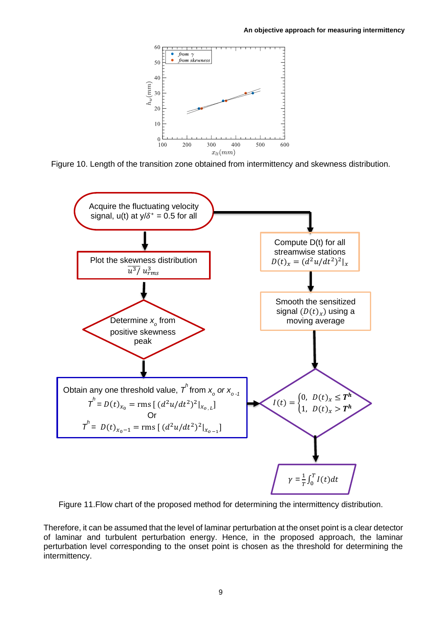

Figure 10. Length of the transition zone obtained from intermittency and skewness distribution.



Figure 11.Flow chart of the proposed method for determining the intermittency distribution.

Therefore, it can be assumed that the level of laminar perturbation at the onset point is a clear detector of laminar and turbulent perturbation energy. Hence, in the proposed approach, the laminar perturbation level corresponding to the onset point is chosen as the threshold for determining the intermittency.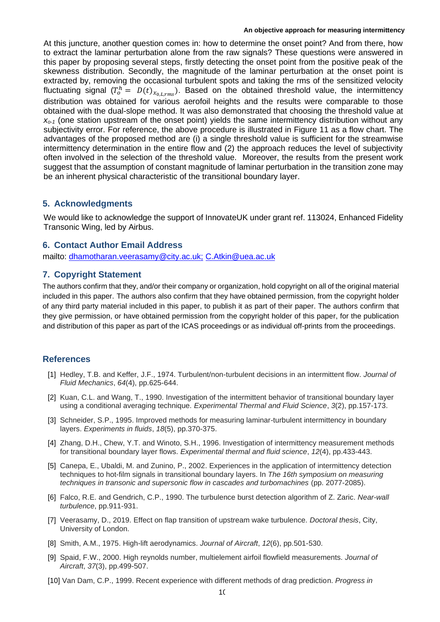At this juncture, another question comes in: how to determine the onset point? And from there, how to extract the laminar perturbation alone from the raw signals? These questions were answered in this paper by proposing several steps, firstly detecting the onset point from the positive peak of the skewness distribution. Secondly, the magnitude of the laminar perturbation at the onset point is extracted by, removing the occasional turbulent spots and taking the rms of the sensitized velocity fluctuating signal ( $T_o^h = D(t)_{x_{0,L,rms}}$ ). Based on the obtained threshold value, the intermittency distribution was obtained for various aerofoil heights and the results were comparable to those obtained with the dual-slope method. It was also demonstrated that choosing the threshold value at *xo-1* (one station upstream of the onset point) yields the same intermittency distribution without any subjectivity error. For reference, the above procedure is illustrated in Figure 11 as a flow chart. The advantages of the proposed method are (i) a single threshold value is sufficient for the streamwise intermittency determination in the entire flow and (2) the approach reduces the level of subjectivity often involved in the selection of the threshold value. Moreover, the results from the present work suggest that the assumption of constant magnitude of laminar perturbation in the transition zone may be an inherent physical characteristic of the transitional boundary layer.

## **5. Acknowledgments**

We would like to acknowledge the support of InnovateUK under grant ref. 113024, Enhanced Fidelity Transonic Wing, led by Airbus.

## **6. Contact Author Email Address**

mailto: [dhamotharan.veerasamy@city.ac.uk;](mailto:dhamotharan.veerasamy@city.ac.uk;) [C.Atkin@uea.ac.uk](mailto:C.Atkin@uea.ac.uk)

## **7. Copyright Statement**

The authors confirm that they, and/or their company or organization, hold copyright on all of the original material included in this paper. The authors also confirm that they have obtained permission, from the copyright holder of any third party material included in this paper, to publish it as part of their paper. The authors confirm that they give permission, or have obtained permission from the copyright holder of this paper, for the publication and distribution of this paper as part of the ICAS proceedings or as individual off-prints from the proceedings.

## **References**

- [1] Hedley, T.B. and Keffer, J.F., 1974. Turbulent/non-turbulent decisions in an intermittent flow. *Journal of Fluid Mechanics*, *64*(4), pp.625-644.
- [2] Kuan, C.L. and Wang, T., 1990. Investigation of the intermittent behavior of transitional boundary layer using a conditional averaging technique. *Experimental Thermal and Fluid Science*, *3*(2), pp.157-173.
- [3] Schneider, S.P., 1995. Improved methods for measuring laminar-turbulent intermittency in boundary layers. *Experiments in fluids*, *18*(5), pp.370-375.
- [4] Zhang, D.H., Chew, Y.T. and Winoto, S.H., 1996. Investigation of intermittency measurement methods for transitional boundary layer flows. *Experimental thermal and fluid science*, *12*(4), pp.433-443.
- [5] Canepa, E., Ubaldi, M. and Zunino, P., 2002. Experiences in the application of intermittency detection techniques to hot-film signals in transitional boundary layers. In *The 16th symposium on measuring techniques in transonic and supersonic flow in cascades and turbomachines* (pp. 2077-2085).
- [6] Falco, R.E. and Gendrich, C.P., 1990. The turbulence burst detection algorithm of Z. Zaric. *Near-wall turbulence*, pp.911-931.
- [7] Veerasamy, D., 2019. Effect on flap transition of upstream wake turbulence*. Doctoral thesis*, City, University of London.
- [8] Smith, A.M., 1975. High-lift aerodynamics. *Journal of Aircraft*, *12*(6), pp.501-530.
- [9] Spaid, F.W., 2000. High reynolds number, multielement airfoil flowfield measurements. *Journal of Aircraft*, *37*(3), pp.499-507.
- [10] Van Dam, C.P., 1999. Recent experience with different methods of drag prediction. *Progress in*